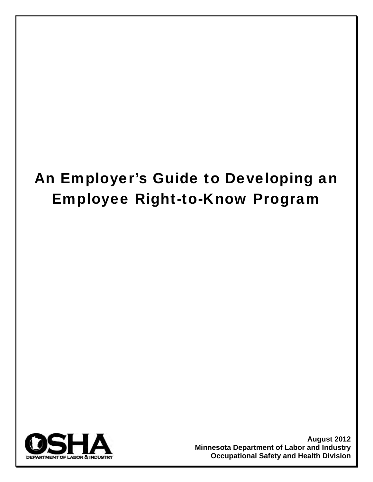# An Employer's Guide to Developing an Employee Right-to-Know Program



**August 2012 Minnesota Department of Labor and Industry Occupational Safety and Health Division**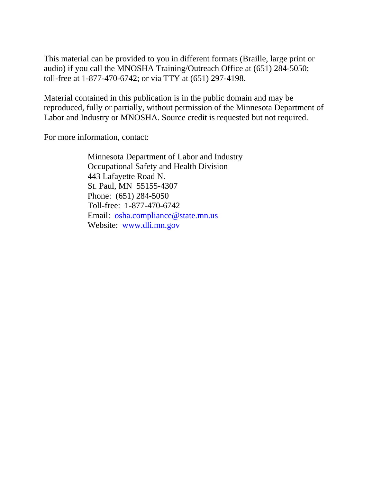This material can be provided to you in different formats (Braille, large print or audio) if you call the MNOSHA Training/Outreach Office at (651) 284-5050; toll-free at 1-877-470-6742; or via TTY at (651) 297-4198.

Material contained in this publication is in the public domain and may be reproduced, fully or partially, without permission of the Minnesota Department of Labor and Industry or MNOSHA. Source credit is requested but not required.

For more information, contact:

Minnesota Department of Labor and Industry Occupational Safety and Health Division 443 Lafayette Road N. St. Paul, MN 55155-4307 Phone: (651) 284-5050 Toll-free: 1-877-470-6742 Email: osha.compliance@state.mn.us Website: www.dli.mn.gov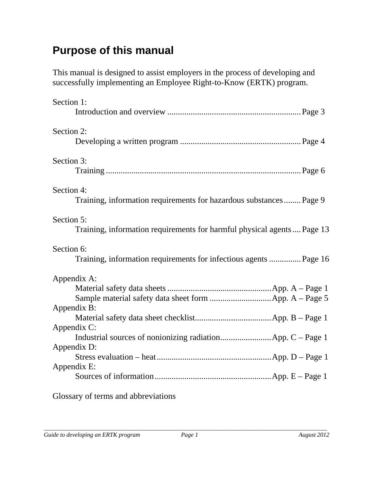## **Purpose of this manual**

This manual is designed to assist employers in the process of developing and successfully implementing an Employee Right-to-Know (ERTK) program.

| Section 1:                                                                           |
|--------------------------------------------------------------------------------------|
| Section 2:                                                                           |
| Section 3:                                                                           |
| Section 4:<br>Training, information requirements for hazardous substances Page 9     |
| Section 5:<br>Training, information requirements for harmful physical agents Page 13 |
| Section 6:<br>Training, information requirements for infectious agents  Page 16      |
| Appendix A:<br>Appendix B:<br>Appendix C:<br>Appendix D:                             |
| Appendix E:                                                                          |
|                                                                                      |

Glossary of terms and abbreviations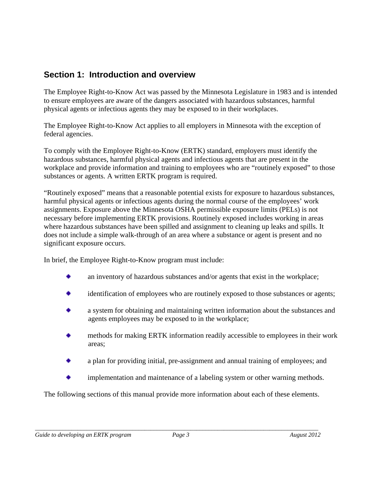## **Section 1: Introduction and overview**

The Employee Right-to-Know Act was passed by the Minnesota Legislature in 1983 and is intended to ensure employees are aware of the dangers associated with hazardous substances, harmful physical agents or infectious agents they may be exposed to in their workplaces.

The Employee Right-to-Know Act applies to all employers in Minnesota with the exception of federal agencies.

To comply with the Employee Right-to-Know (ERTK) standard, employers must identify the hazardous substances, harmful physical agents and infectious agents that are present in the workplace and provide information and training to employees who are "routinely exposed" to those substances or agents. A written ERTK program is required.

"Routinely exposed" means that a reasonable potential exists for exposure to hazardous substances, harmful physical agents or infectious agents during the normal course of the employees' work assignments. Exposure above the Minnesota OSHA permissible exposure limits (PELs) is not necessary before implementing ERTK provisions. Routinely exposed includes working in areas where hazardous substances have been spilled and assignment to cleaning up leaks and spills. It does not include a simple walk-through of an area where a substance or agent is present and no significant exposure occurs.

In brief, the Employee Right-to-Know program must include:

- an inventory of hazardous substances and/or agents that exist in the workplace;
- identification of employees who are routinely exposed to those substances or agents;
- a system for obtaining and maintaining written information about the substances and agents employees may be exposed to in the workplace;
- methods for making ERTK information readily accessible to employees in their work areas;
- a plan for providing initial, pre-assignment and annual training of employees; and
- implementation and maintenance of a labeling system or other warning methods.

The following sections of this manual provide more information about each of these elements.

*\_\_\_\_\_\_\_\_\_\_\_\_\_\_\_\_\_\_\_\_\_\_\_\_\_\_\_\_\_\_\_\_\_\_\_\_\_\_\_\_\_\_\_\_\_\_\_\_\_\_\_\_\_\_\_\_\_\_\_\_\_\_\_\_\_\_\_\_\_\_\_\_\_\_\_\_\_\_\_\_\_\_\_\_\_\_\_\_\_\_\_\_\_*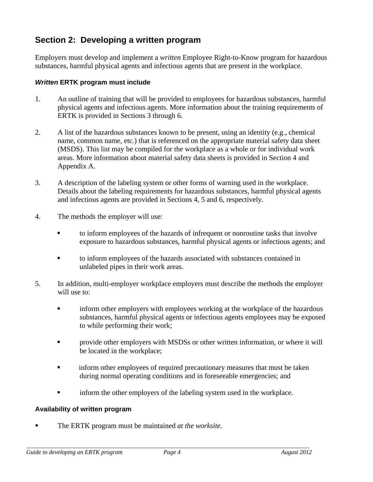## **Section 2: Developing a written program**

Employers must develop and implement a *written* Employee Right-to-Know program for hazardous substances, harmful physical agents and infectious agents that are present in the workplace.

#### *Written* **ERTK program must include**

- 1. An outline of training that will be provided to employees for hazardous substances, harmful physical agents and infectious agents. More information about the training requirements of ERTK is provided in Sections 3 through 6.
- 2. A list of the hazardous substances known to be present, using an identity (e.g., chemical name, common name, etc.) that is referenced on the appropriate material safety data sheet (MSDS). This list may be compiled for the workplace as a whole or for individual work areas. More information about material safety data sheets is provided in Section 4 and Appendix A.
- 3. A description of the labeling system or other forms of warning used in the workplace. Details about the labeling requirements for hazardous substances, harmful physical agents and infectious agents are provided in Sections 4, 5 and 6, respectively.
- 4. The methods the employer will use:
	- to inform employees of the hazards of infrequent or nonroutine tasks that involve exposure to hazardous substances, harmful physical agents or infectious agents; and
	- to inform employees of the hazards associated with substances contained in unlabeled pipes in their work areas.
- 5. In addition, multi-employer workplace employers must describe the methods the employer will use to:
	- **inform other employers with employees working at the workplace of the hazardous** substances, harmful physical agents or infectious agents employees may be exposed to while performing their work;
	- provide other employers with MSDSs or other written information, or where it will be located in the workplace;
	- **Falleholder inform other employees of required precautionary measures that must be taken** during normal operating conditions and in foreseeable emergencies; and
	- inform the other employers of the labeling system used in the workplace.

#### **Availability of written program**

The ERTK program must be maintained *at the worksite*.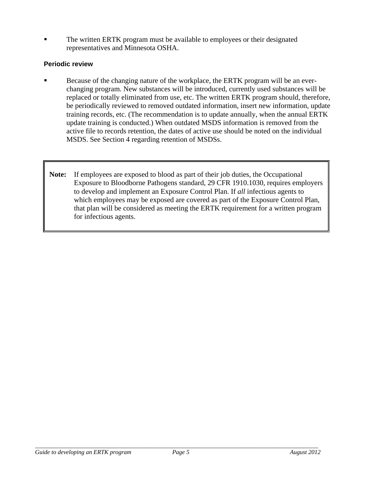The written ERTK program must be available to employees or their designated representatives and Minnesota OSHA.

#### **Periodic review**

- Because of the changing nature of the workplace, the ERTK program will be an everchanging program. New substances will be introduced, currently used substances will be replaced or totally eliminated from use, etc. The written ERTK program should, therefore, be periodically reviewed to removed outdated information, insert new information, update training records, etc. (The recommendation is to update annually, when the annual ERTK update training is conducted.) When outdated MSDS information is removed from the active file to records retention, the dates of active use should be noted on the individual MSDS. See Section 4 regarding retention of MSDSs.
- **Note:** If employees are exposed to blood as part of their job duties, the Occupational Exposure to Bloodborne Pathogens standard, 29 CFR 1910.1030, requires employers to develop and implement an Exposure Control Plan. If *all* infectious agents to which employees may be exposed are covered as part of the Exposure Control Plan, that plan will be considered as meeting the ERTK requirement for a written program for infectious agents.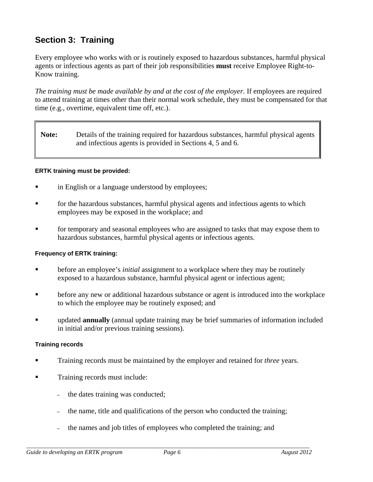## **Section 3: Training**

Every employee who works with or is routinely exposed to hazardous substances, harmful physical agents or infectious agents as part of their job responsibilities **must** receive Employee Right-to-Know training.

*The training must be made available by and at the cost of the employer.* If employees are required to attend training at times other than their normal work schedule, they must be compensated for that time (e.g., overtime, equivalent time off, etc.).

**Note:** Details of the training required for hazardous substances, harmful physical agents and infectious agents is provided in Sections 4, 5 and 6.

#### **ERTK training must be provided:**

- **in English or a language understood by employees;**
- **Fall is the hazardous substances, harmful physical agents and infectious agents to which** employees may be exposed in the workplace; and
- **Fallehorary and seasonal employees who are assigned to tasks that may expose them to** hazardous substances, harmful physical agents or infectious agents.

#### **Frequency of ERTK training:**

- before an employee's *initial* assignment to a workplace where they may be routinely exposed to a hazardous substance, harmful physical agent or infectious agent;
- before any new or additional hazardous substance or agent is introduced into the workplace to which the employee may be routinely exposed; and
- **updated annually** (annual update training may be brief summaries of information included in initial and/or previous training sessions).

#### **Training records**

- Training records must be maintained by the employer and retained for *three* years.
- **Training records must include:** 
	- the dates training was conducted;
	- the name, title and qualifications of the person who conducted the training;
	- the names and job titles of employees who completed the training; and

*\_\_\_\_\_\_\_\_\_\_\_\_\_\_\_\_\_\_\_\_\_\_\_\_\_\_\_\_\_\_\_\_\_\_\_\_\_\_\_\_\_\_\_\_\_\_\_\_\_\_\_\_\_\_\_\_\_\_\_\_\_\_\_\_\_\_\_\_\_\_\_\_\_\_\_\_\_\_\_\_\_\_\_\_\_\_\_\_\_\_\_\_\_*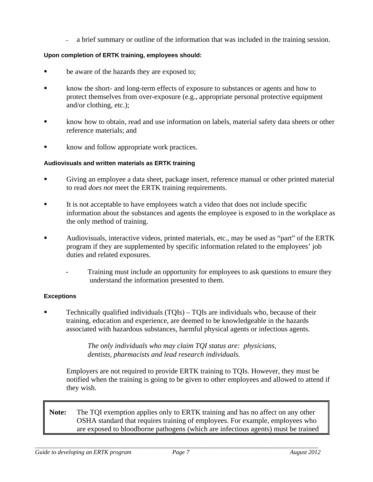– a brief summary or outline of the information that was included in the training session.

#### **Upon completion of ERTK training, employees should:**

- be aware of the hazards they are exposed to;
- **Exercise 1** know the short- and long-term effects of exposure to substances or agents and how to protect themselves from over-exposure (e.g., appropriate personal protective equipment and/or clothing, etc.);
- know how to obtain, read and use information on labels, material safety data sheets or other reference materials; and
- **Example 1** know and follow appropriate work practices.

#### **Audiovisuals and written materials as ERTK training**

- Giving an employee a data sheet, package insert, reference manual or other printed material to read *does not* meet the ERTK training requirements.
- It is not acceptable to have employees watch a video that does not include specific information about the substances and agents the employee is exposed to in the workplace as the only method of training.
- Audiovisuals, interactive videos, printed materials, etc., may be used as "part" of the ERTK program if they are supplemented by specific information related to the employees' job duties and related exposures.
	- Training must include an opportunity for employees to ask questions to ensure they understand the information presented to them.

#### **Exceptions**

 Technically qualified individuals (TQIs) – TQIs are individuals who, because of their training, education and experience, are deemed to be knowledgeable in the hazards associated with hazardous substances, harmful physical agents or infectious agents.

> *The only individuals who may claim TQI status are: physicians, dentists, pharmacists and lead research individuals.*

Employers are not required to provide ERTK training to TQIs. However, they must be notified when the training is going to be given to other employees and allowed to attend if they wish.

**Note:** The TQI exemption applies only to ERTK training and has no affect on any other OSHA standard that requires training of employees. For example, employees who are exposed to bloodborne pathogens (which are infectious agents) must be trained

*\_\_\_\_\_\_\_\_\_\_\_\_\_\_\_\_\_\_\_\_\_\_\_\_\_\_\_\_\_\_\_\_\_\_\_\_\_\_\_\_\_\_\_\_\_\_\_\_\_\_\_\_\_\_\_\_\_\_\_\_\_\_\_\_\_\_\_\_\_\_\_\_\_\_\_\_\_\_\_\_\_\_\_\_\_\_\_\_\_\_\_\_\_*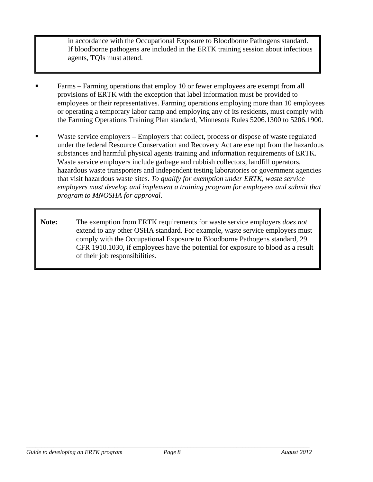in accordance with the Occupational Exposure to Bloodborne Pathogens standard. If bloodborne pathogens are included in the ERTK training session about infectious agents, TQIs must attend.

- Farms Farming operations that employ 10 or fewer employees are exempt from all provisions of ERTK with the exception that label information must be provided to employees or their representatives. Farming operations employing more than 10 employees or operating a temporary labor camp and employing any of its residents, must comply with the Farming Operations Training Plan standard, Minnesota Rules 5206.1300 to 5206.1900.
- Waste service employers Employers that collect, process or dispose of waste regulated under the federal Resource Conservation and Recovery Act are exempt from the hazardous substances and harmful physical agents training and information requirements of ERTK. Waste service employers include garbage and rubbish collectors, landfill operators, hazardous waste transporters and independent testing laboratories or government agencies that visit hazardous waste sites. *To qualify for exemption under ERTK, waste service employers must develop and implement a training program for employees and submit that program to MNOSHA for approval.*
- **Note:** The exemption from ERTK requirements for waste service employers *does not* extend to any other OSHA standard. For example, waste service employers must comply with the Occupational Exposure to Bloodborne Pathogens standard, 29 CFR 1910.1030, if employees have the potential for exposure to blood as a result of their job responsibilities.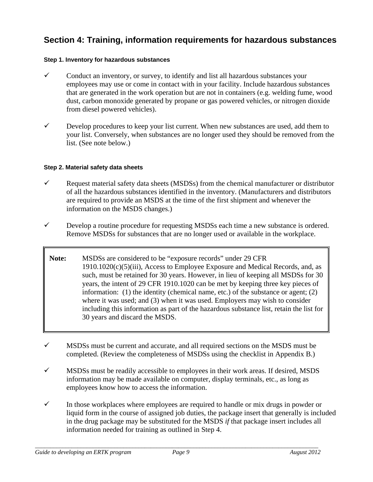## **Section 4: Training, information requirements for hazardous substances**

#### **Step 1. Inventory for hazardous substances**

- $\checkmark$  Conduct an inventory, or survey, to identify and list all hazardous substances your employees may use or come in contact with in your facility. Include hazardous substances that are generated in the work operation but are not in containers (e.g. welding fume, wood dust, carbon monoxide generated by propane or gas powered vehicles, or nitrogen dioxide from diesel powered vehicles).
- $\checkmark$  Develop procedures to keep your list current. When new substances are used, add them to your list. Conversely, when substances are no longer used they should be removed from the list. (See note below.)

#### **Step 2. Material safety data sheets**

- $\checkmark$  Request material safety data sheets (MSDSs) from the chemical manufacturer or distributor of all the hazardous substances identified in the inventory. (Manufacturers and distributors are required to provide an MSDS at the time of the first shipment and whenever the information on the MSDS changes.)
- $\checkmark$  Develop a routine procedure for requesting MSDSs each time a new substance is ordered. Remove MSDSs for substances that are no longer used or available in the workplace.
- **Note:** MSDSs are considered to be "exposure records" under 29 CFR  $1910.1020(c)(5)(iii)$ , Access to Employee Exposure and Medical Records, and, as such, must be retained for 30 years. However, in lieu of keeping all MSDSs for 30 years, the intent of 29 CFR 1910.1020 can be met by keeping three key pieces of information: (1) the identity (chemical name, etc.) of the substance or agent; (2) where it was used; and (3) when it was used. Employers may wish to consider including this information as part of the hazardous substance list, retain the list for 30 years and discard the MSDS.
- $\checkmark$  MSDSs must be current and accurate, and all required sections on the MSDS must be completed. (Review the completeness of MSDSs using the checklist in Appendix B.)
- $\checkmark$  MSDSs must be readily accessible to employees in their work areas. If desired, MSDS information may be made available on computer, display terminals, etc., as long as employees know how to access the information.
- $\checkmark$  In those workplaces where employees are required to handle or mix drugs in powder or liquid form in the course of assigned job duties, the package insert that generally is included in the drug package may be substituted for the MSDS *if* that package insert includes all information needed for training as outlined in Step 4.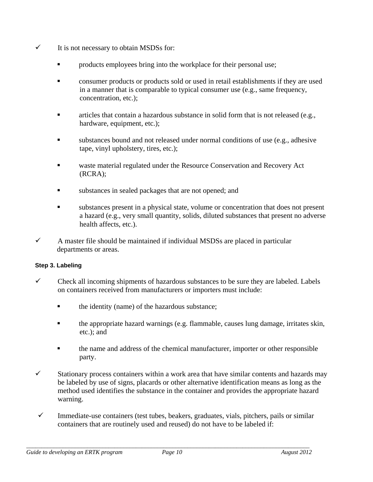- $\checkmark$  It is not necessary to obtain MSDSs for:
	- **Part is employees bring into the workplace for their personal use;**
	- consumer products or products sold or used in retail establishments if they are used in a manner that is comparable to typical consumer use (e.g., same frequency, concentration, etc.);
	- articles that contain a hazardous substance in solid form that is not released (e.g., hardware, equipment, etc.);
	- substances bound and not released under normal conditions of use (e.g., adhesive tape, vinyl upholstery, tires, etc.);
	- waste material regulated under the Resource Conservation and Recovery Act (RCRA);
	- substances in sealed packages that are not opened; and
	- substances present in a physical state, volume or concentration that does not present a hazard (e.g., very small quantity, solids, diluted substances that present no adverse health affects, etc.).
- $\checkmark$  A master file should be maintained if individual MSDSs are placed in particular departments or areas.

#### **Step 3. Labeling**

- $\checkmark$  Check all incoming shipments of hazardous substances to be sure they are labeled. Labels on containers received from manufacturers or importers must include:
	- **the identity (name) of the hazardous substance;**
	- the appropriate hazard warnings (e.g. flammable, causes lung damage, irritates skin, etc.); and
	- the name and address of the chemical manufacturer, importer or other responsible party.
- $\checkmark$  Stationary process containers within a work area that have similar contents and hazards may be labeled by use of signs, placards or other alternative identification means as long as the method used identifies the substance in the container and provides the appropriate hazard warning.
- $\checkmark$  Immediate-use containers (test tubes, beakers, graduates, vials, pitchers, pails or similar containers that are routinely used and reused) do not have to be labeled if: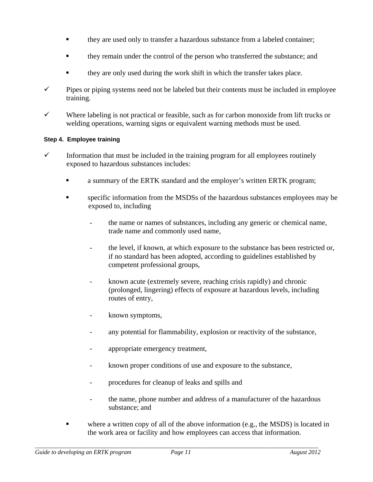- **they are used only to transfer a hazardous substance from a labeled container;**
- they remain under the control of the person who transferred the substance; and
- they are only used during the work shift in which the transfer takes place.
- $\checkmark$  Pipes or piping systems need not be labeled but their contents must be included in employee training.
- $\checkmark$  Where labeling is not practical or feasible, such as for carbon monoxide from lift trucks or welding operations, warning signs or equivalent warning methods must be used.

#### **Step 4. Employee training**

- $\checkmark$  Information that must be included in the training program for all employees routinely exposed to hazardous substances includes:
	- **a** summary of the ERTK standard and the employer's written ERTK program;
	- **Exercific information from the MSDSs of the hazardous substances employees may be** exposed to, including
		- the name or names of substances, including any generic or chemical name, trade name and commonly used name,
		- the level, if known, at which exposure to the substance has been restricted or, if no standard has been adopted, according to guidelines established by competent professional groups,
		- known acute (extremely severe, reaching crisis rapidly) and chronic (prolonged, lingering) effects of exposure at hazardous levels, including routes of entry,
		- known symptoms,
		- any potential for flammability, explosion or reactivity of the substance,
		- appropriate emergency treatment,
		- known proper conditions of use and exposure to the substance,
		- procedures for cleanup of leaks and spills and
		- the name, phone number and address of a manufacturer of the hazardous substance; and
	- where a written copy of all of the above information (e.g., the MSDS) is located in the work area or facility and how employees can access that information.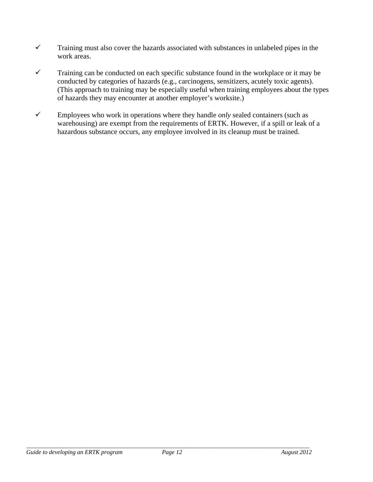- $\checkmark$  Training must also cover the hazards associated with substances in unlabeled pipes in the work areas.
- $\checkmark$  Training can be conducted on each specific substance found in the workplace or it may be conducted by categories of hazards (e.g., carcinogens, sensitizers, acutely toxic agents). (This approach to training may be especially useful when training employees about the types of hazards they may encounter at another employer's worksite.)
- $\checkmark$  Employees who work in operations where they handle *only* sealed containers (such as warehousing) are exempt from the requirements of ERTK. However, if a spill or leak of a hazardous substance occurs, any employee involved in its cleanup must be trained.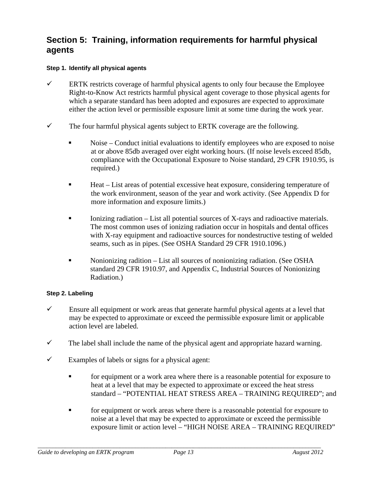## **Section 5: Training, information requirements for harmful physical agents**

#### **Step 1. Identify all physical agents**

- $\checkmark$  ERTK restricts coverage of harmful physical agents to only four because the Employee Right-to-Know Act restricts harmful physical agent coverage to those physical agents for which a separate standard has been adopted and exposures are expected to approximate either the action level or permissible exposure limit at some time during the work year.
- $\checkmark$  The four harmful physical agents subject to ERTK coverage are the following.
	- Noise Conduct initial evaluations to identify employees who are exposed to noise at or above 85db averaged over eight working hours. (If noise levels exceed 85db, compliance with the Occupational Exposure to Noise standard, 29 CFR 1910.95, is required.)
	- Heat List areas of potential excessive heat exposure, considering temperature of the work environment, season of the year and work activity. (See Appendix D for more information and exposure limits.)
	- Ionizing radiation List all potential sources of X-rays and radioactive materials. The most common uses of ionizing radiation occur in hospitals and dental offices with X-ray equipment and radioactive sources for nondestructive testing of welded seams, such as in pipes. (See OSHA Standard 29 CFR 1910.1096.)
	- Nonionizing radition List all sources of nonionizing radiation. (See OSHA standard 29 CFR 1910.97, and Appendix C, Industrial Sources of Nonionizing Radiation.)

#### **Step 2. Labeling**

- $\checkmark$  Ensure all equipment or work areas that generate harmful physical agents at a level that may be expected to approximate or exceed the permissible exposure limit or applicable action level are labeled.
- $\checkmark$  The label shall include the name of the physical agent and appropriate hazard warning.
- $\checkmark$  Examples of labels or signs for a physical agent:
	- for equipment or a work area where there is a reasonable potential for exposure to heat at a level that may be expected to approximate or exceed the heat stress standard – "POTENTIAL HEAT STRESS AREA – TRAINING REQUIRED"; and
	- **for equipment or work areas where there is a reasonable potential for exposure to** noise at a level that may be expected to approximate or exceed the permissible exposure limit or action level – "HIGH NOISE AREA – TRAINING REQUIRED"

*\_\_\_\_\_\_\_\_\_\_\_\_\_\_\_\_\_\_\_\_\_\_\_\_\_\_\_\_\_\_\_\_\_\_\_\_\_\_\_\_\_\_\_\_\_\_\_\_\_\_\_\_\_\_\_\_\_\_\_\_\_\_\_\_\_\_\_\_\_\_\_\_\_\_\_\_\_\_\_\_\_\_\_\_\_\_\_\_\_\_\_\_\_*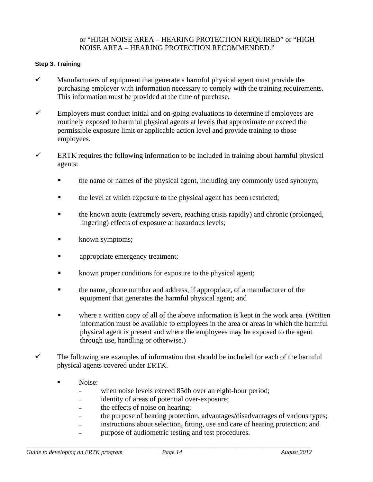#### or "HIGH NOISE AREA – HEARING PROTECTION REQUIRED" or "HIGH NOISE AREA – HEARING PROTECTION RECOMMENDED."

#### **Step 3. Training**

- $\checkmark$  Manufacturers of equipment that generate a harmful physical agent must provide the purchasing employer with information necessary to comply with the training requirements. This information must be provided at the time of purchase.
- $\checkmark$  Employers must conduct initial and on-going evaluations to determine if employees are routinely exposed to harmful physical agents at levels that approximate or exceed the permissible exposure limit or applicable action level and provide training to those employees.
- $\checkmark$  ERTK requires the following information to be included in training about harmful physical agents:
	- $\blacksquare$  the name or names of the physical agent, including any commonly used synonym;
	- the level at which exposure to the physical agent has been restricted;
	- the known acute (extremely severe, reaching crisis rapidly) and chronic (prolonged, lingering) effects of exposure at hazardous levels;
	- known symptoms;
	- **appropriate emergency treatment;**
	- known proper conditions for exposure to the physical agent;
	- the name, phone number and address, if appropriate, of a manufacturer of the equipment that generates the harmful physical agent; and
	- where a written copy of all of the above information is kept in the work area. (Written information must be available to employees in the area or areas in which the harmful physical agent is present and where the employees may be exposed to the agent through use, handling or otherwise.)
- $\checkmark$  The following are examples of information that should be included for each of the harmful physical agents covered under ERTK.
	- Noise:
		- when noise levels exceed 85db over an eight-hour period;
		- identity of areas of potential over-exposure;
		- the effects of noise on hearing;
		- the purpose of hearing protection, advantages/disadvantages of various types;
		- instructions about selection, fitting, use and care of hearing protection; and
		- purpose of audiometric testing and test procedures.

*\_\_\_\_\_\_\_\_\_\_\_\_\_\_\_\_\_\_\_\_\_\_\_\_\_\_\_\_\_\_\_\_\_\_\_\_\_\_\_\_\_\_\_\_\_\_\_\_\_\_\_\_\_\_\_\_\_\_\_\_\_\_\_\_\_\_\_\_\_\_\_\_\_\_\_\_\_\_\_\_\_\_\_\_\_\_\_\_\_\_\_\_\_*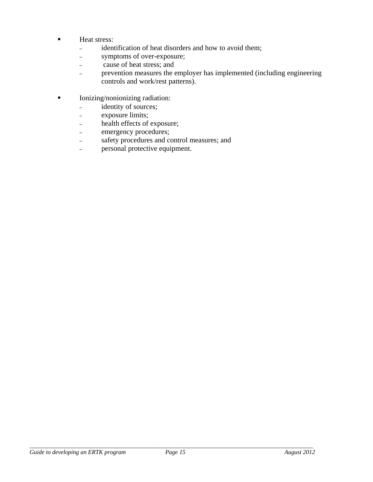- **Heat stress:** 
	- identification of heat disorders and how to avoid them;
	- symptoms of over-exposure;
	- cause of heat stress; and
	- prevention measures the employer has implemented (including engineering controls and work/rest patterns).
- Ionizing/nonionizing radiation:
	- identity of sources;
	- exposure limits;
	- health effects of exposure;
	- emergency procedures;
	- safety procedures and control measures; and
	- personal protective equipment.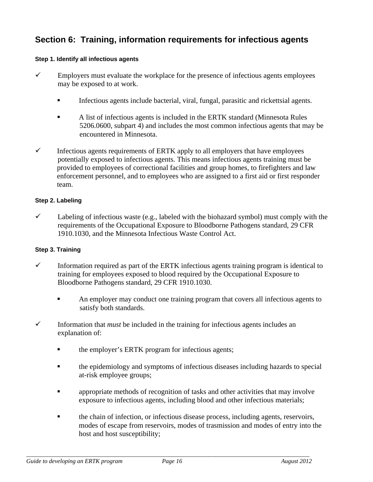## **Section 6: Training, information requirements for infectious agents**

#### **Step 1. Identify all infectious agents**

- $\checkmark$  Employers must evaluate the workplace for the presence of infectious agents employees may be exposed to at work.
	- Infectious agents include bacterial, viral, fungal, parasitic and rickettsial agents.
	- A list of infectious agents is included in the ERTK standard (Minnesota Rules 5206.0600, subpart 4) and includes the most common infectious agents that may be encountered in Minnesota.
- $\checkmark$  Infectious agents requirements of ERTK apply to all employers that have employees potentially exposed to infectious agents. This means infectious agents training must be provided to employees of correctional facilities and group homes, to firefighters and law enforcement personnel, and to employees who are assigned to a first aid or first responder team.

#### **Step 2. Labeling**

 $\checkmark$  Labeling of infectious waste (e.g., labeled with the biohazard symbol) must comply with the requirements of the Occupational Exposure to Bloodborne Pathogens standard, 29 CFR 1910.1030, and the Minnesota Infectious Waste Control Act.

#### **Step 3. Training**

- $\checkmark$  Information required as part of the ERTK infectious agents training program is identical to training for employees exposed to blood required by the Occupational Exposure to Bloodborne Pathogens standard, 29 CFR 1910.1030.
	- An employer may conduct one training program that covers all infectious agents to satisfy both standards.
- $\checkmark$  Information that *must* be included in the training for infectious agents includes an explanation of:
	- $\blacksquare$  the employer's ERTK program for infectious agents;
	- the epidemiology and symptoms of infectious diseases including hazards to special at-risk employee groups;
	- appropriate methods of recognition of tasks and other activities that may involve exposure to infectious agents, including blood and other infectious materials;
	- the chain of infection, or infectious disease process, including agents, reservoirs, modes of escape from reservoirs, modes of trasmission and modes of entry into the host and host susceptibility;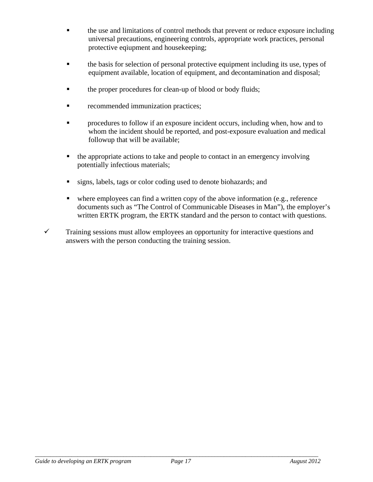- the use and limitations of control methods that prevent or reduce exposure including universal precautions, engineering controls, appropriate work practices, personal protective eqiupment and housekeeping;
- the basis for selection of personal protective equipment including its use, types of equipment available, location of equipment, and decontamination and disposal;
- the proper procedures for clean-up of blood or body fluids;
- recommended immunization practices;
- procedures to follow if an exposure incident occurs, including when, how and to whom the incident should be reported, and post-exposure evaluation and medical followup that will be available;
- $\blacksquare$  the appropriate actions to take and people to contact in an emergency involving potentially infectious materials;
- signs, labels, tags or color coding used to denote biohazards; and
- where employees can find a written copy of the above information (e.g., reference documents such as "The Control of Communicable Diseases in Man"), the employer's written ERTK program, the ERTK standard and the person to contact with questions.
- $\checkmark$  Training sessions must allow employees an opportunity for interactive questions and answers with the person conducting the training session.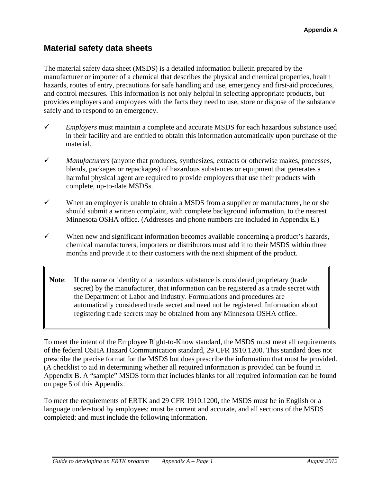## **Material safety data sheets**

The material safety data sheet (MSDS) is a detailed information bulletin prepared by the manufacturer or importer of a chemical that describes the physical and chemical properties, health hazards, routes of entry, precautions for safe handling and use, emergency and first-aid procedures, and control measures. This information is not only helpful in selecting appropriate products, but provides employers and employees with the facts they need to use, store or dispose of the substance safely and to respond to an emergency.

- *Employers* must maintain a complete and accurate MSDS for each hazardous substance used in their facility and are entitled to obtain this information automatically upon purchase of the material.
- *Manufacturers* (anyone that produces, synthesizes, extracts or otherwise makes, processes, blends, packages or repackages) of hazardous substances or equipment that generates a harmful physical agent are required to provide employers that use their products with complete, up-to-date MSDSs.
- $\checkmark$  When an employer is unable to obtain a MSDS from a supplier or manufacturer, he or she should submit a written complaint, with complete background information, to the nearest Minnesota OSHA office. (Addresses and phone numbers are included in Appendix E.)
- $\checkmark$  When new and significant information becomes available concerning a product's hazards, chemical manufacturers, importers or distributors must add it to their MSDS within three months and provide it to their customers with the next shipment of the product.
	- **Note**: If the name or identity of a hazardous substance is considered proprietary (trade secret) by the manufacturer, that information can be registered as a trade secret with the Department of Labor and Industry. Formulations and procedures are automatically considered trade secret and need not be registered. Information about registering trade secrets may be obtained from any Minnesota OSHA office.

To meet the intent of the Employee Right-to-Know standard, the MSDS must meet all requirements of the federal OSHA Hazard Communication standard, 29 CFR 1910.1200. This standard does not prescribe the precise format for the MSDS but does prescribe the information that must be provided. (A checklist to aid in determining whether all required information is provided can be found in Appendix B. A "sample" MSDS form that includes blanks for all required information can be found on page 5 of this Appendix.

To meet the requirements of ERTK and 29 CFR 1910.1200, the MSDS must be in English or a language understood by employees; must be current and accurate, and all sections of the MSDS completed; and must include the following information.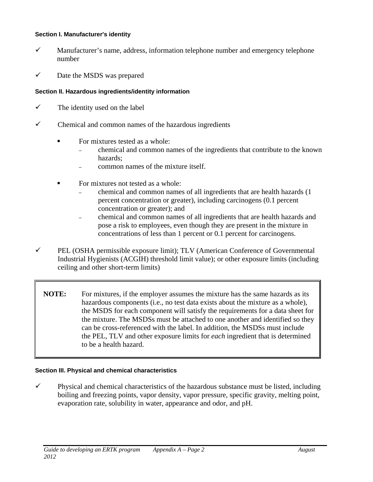#### **Section I. Manufacturer's identity**

- $\checkmark$  Manufacturer's name, address, information telephone number and emergency telephone number
- $\checkmark$  Date the MSDS was prepared

#### **Section II. Hazardous ingredients/identity information**

- $\checkmark$  The identity used on the label
- $\checkmark$  Chemical and common names of the hazardous ingredients
	- For mixtures tested as a whole:
		- chemical and common names of the ingredients that contribute to the known hazards;
		- common names of the mixture itself.
	- For mixtures not tested as a whole:
		- chemical and common names of all ingredients that are health hazards (1 percent concentration or greater), including carcinogens (0.1 percent concentration or greater); and
		- chemical and common names of all ingredients that are health hazards and pose a risk to employees, even though they are present in the mixture in concentrations of less than 1 percent or 0.1 percent for carcinogens.
- $\checkmark$  PEL (OSHA permissible exposure limit); TLV (American Conference of Governmental Industrial Hygienists (ACGIH) threshold limit value); or other exposure limits (including ceiling and other short-term limits)
	- **NOTE:** For mixtures, if the employer assumes the mixture has the same hazards as its hazardous components (i.e., no test data exists about the mixture as a whole), the MSDS for each component will satisfy the requirements for a data sheet for the mixture. The MSDSs must be attached to one another and identified so they can be cross-referenced with the label. In addition, the MSDSs must include the PEL, TLV and other exposure limits for *each* ingredient that is determined to be a health hazard.

#### **Section III. Physical and chemical characteristics**

 $\checkmark$  Physical and chemical characteristics of the hazardous substance must be listed, including boiling and freezing points, vapor density, vapor pressure, specific gravity, melting point, evaporation rate, solubility in water, appearance and odor, and pH.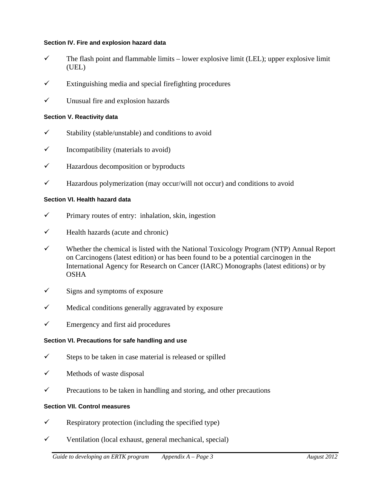#### **Section IV. Fire and explosion hazard data**

- $\checkmark$  The flash point and flammable limits lower explosive limit (LEL); upper explosive limit (UEL)
- $\checkmark$  Extinguishing media and special firefighting procedures
- $\checkmark$  Unusual fire and explosion hazards

#### **Section V. Reactivity data**

- $\checkmark$  Stability (stable/unstable) and conditions to avoid
- $\checkmark$  Incompatibility (materials to avoid)
- $\checkmark$  Hazardous decomposition or byproducts
- $\checkmark$  Hazardous polymerization (may occur/will not occur) and conditions to avoid

#### **Section VI. Health hazard data**

- $\checkmark$  Primary routes of entry: inhalation, skin, ingestion
- $\checkmark$  Health hazards (acute and chronic)
- $\checkmark$  Whether the chemical is listed with the National Toxicology Program (NTP) Annual Report on Carcinogens (latest edition) or has been found to be a potential carcinogen in the International Agency for Research on Cancer (IARC) Monographs (latest editions) or by OSHA
- $\checkmark$  Signs and symptoms of exposure
- $\checkmark$  Medical conditions generally aggravated by exposure
- $\checkmark$  Emergency and first aid procedures

#### **Section VI. Precautions for safe handling and use**

- $\checkmark$  Steps to be taken in case material is released or spilled
- $\checkmark$  Methods of waste disposal
- $\checkmark$  Precautions to be taken in handling and storing, and other precautions

#### **Section VII. Control measures**

- $\checkmark$  Respiratory protection (including the specified type)
- $\checkmark$  Ventilation (local exhaust, general mechanical, special)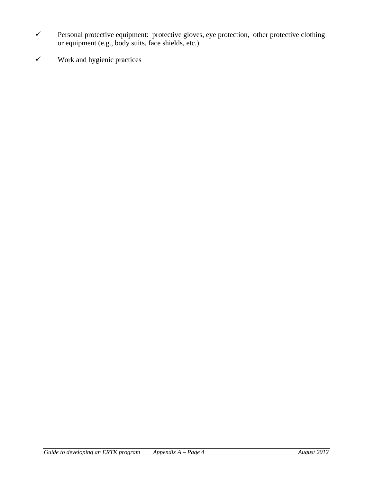- $\checkmark$  Personal protective equipment: protective gloves, eye protection, other protective clothing or equipment (e.g., body suits, face shields, etc.)
- $\checkmark$  Work and hygienic practices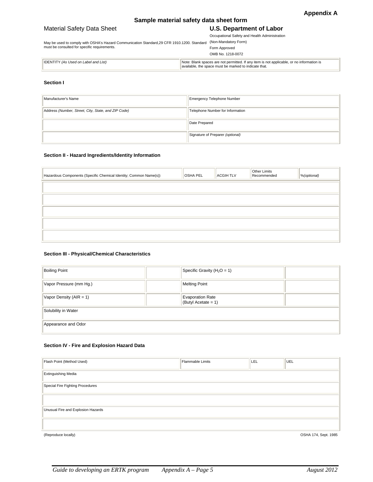#### **Sample material safety data sheet form**

#### Material Safety Data Sheet **U.S. Department of Labor**

#### Occupational Safety and Health Administration

May be used to comply with OSHA's Hazard Communication Standard,29 CFR 1910.1200. Standard must be consulted for specific requirements. (Non-Mandatory Form)

| Form Approved     |  |
|-------------------|--|
| OMB No. 1218-0072 |  |

| <b>IDENTI</b><br>(As Used on Label and List)<br>7Де | . Blank spaces are not permitted. If any item is not applicable, or no information is<br>Note:<br>indicate that.<br>the space must. |
|-----------------------------------------------------|-------------------------------------------------------------------------------------------------------------------------------------|

#### **Section I**

| Manufacturer's Name                                 | Emergency Telephone Number       |
|-----------------------------------------------------|----------------------------------|
| Address (Number, Street, City, State, and ZIP Code) | Telephone Number for Information |
|                                                     | Date Prepared                    |
|                                                     | Signature of Preparer (optional) |

#### **Section II - Hazard Ingredients/Identity Information**

| Hazardous Components (Specific Chemical Identity; Common Name(s)) | <b>OSHA PEL</b> | <b>ACGIHTLV</b> | Other Limits<br>Recommended | %(optional) |
|-------------------------------------------------------------------|-----------------|-----------------|-----------------------------|-------------|
|                                                                   |                 |                 |                             |             |
|                                                                   |                 |                 |                             |             |
|                                                                   |                 |                 |                             |             |
|                                                                   |                 |                 |                             |             |
|                                                                   |                 |                 |                             |             |

#### **Section III - Physical/Chemical Characteristics**

| <b>Boiling Point</b>        | Specific Gravity ( $H_2O = 1$ )                   |  |  |  |
|-----------------------------|---------------------------------------------------|--|--|--|
| Vapor Pressure (mm Hg.)     | <b>Melting Point</b>                              |  |  |  |
| Vapor Density ( $AIR = 1$ ) | <b>Evaporation Rate</b><br>(Butyl Acetate = $1$ ) |  |  |  |
| Solubility in Water         |                                                   |  |  |  |
| Appearance and Odor         |                                                   |  |  |  |

#### **Section IV - Fire and Explosion Hazard Data**

| Flash Point (Method Used)          | <b>Flammable Limits</b> | LEL | UEL                  |
|------------------------------------|-------------------------|-----|----------------------|
| <b>Extinguishing Media</b>         |                         |     |                      |
| Special Fire Fighting Procedures   |                         |     |                      |
|                                    |                         |     |                      |
| Unusual Fire and Explosion Hazards |                         |     |                      |
|                                    |                         |     |                      |
| (Reproduce locally)                |                         |     | OSHA 174, Sept. 1985 |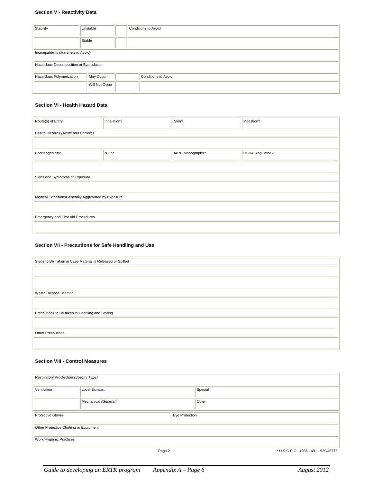#### **Section V - Reactivity Data**

| Stability                             | Unstable       | Conditions to Avoid |  |  |  |
|---------------------------------------|----------------|---------------------|--|--|--|
|                                       | Stable         |                     |  |  |  |
| Incompatibility (Materials to Avoid)  |                |                     |  |  |  |
| Hazardous Decomposition or Byproducts |                |                     |  |  |  |
| Hazardous Polymerization              | May Occur      | Conditions to Avoid |  |  |  |
|                                       | Will Not Occur |                     |  |  |  |

#### **Section VI - Health Hazard Data**

| Route(s) of Entry:                                 | Inhalation? | Skin?            | Ingestion?      |  |  |
|----------------------------------------------------|-------------|------------------|-----------------|--|--|
|                                                    |             |                  |                 |  |  |
|                                                    |             |                  |                 |  |  |
| Health Hazards (Acute and Chronic)                 |             |                  |                 |  |  |
|                                                    |             |                  |                 |  |  |
|                                                    |             |                  |                 |  |  |
|                                                    |             |                  |                 |  |  |
| Carcinogenicity:                                   | NTP?        | IARC Monographs? | OSHA Regulated? |  |  |
|                                                    |             |                  |                 |  |  |
|                                                    |             |                  |                 |  |  |
|                                                    |             |                  |                 |  |  |
|                                                    |             |                  |                 |  |  |
| Signs and Symptoms of Exposure                     |             |                  |                 |  |  |
|                                                    |             |                  |                 |  |  |
|                                                    |             |                  |                 |  |  |
|                                                    |             |                  |                 |  |  |
| Medical ConditionsGenerally Aggravated by Exposure |             |                  |                 |  |  |
|                                                    |             |                  |                 |  |  |
|                                                    |             |                  |                 |  |  |
|                                                    |             |                  |                 |  |  |
| Emergency and First Aid Procedures                 |             |                  |                 |  |  |
|                                                    |             |                  |                 |  |  |
|                                                    |             |                  |                 |  |  |
|                                                    |             |                  |                 |  |  |

#### **Section VII - Precautions for Safe Handling and Use**

| Steps to Be Taken in Case Material is Released or Spilled |  |  |  |
|-----------------------------------------------------------|--|--|--|
|                                                           |  |  |  |
|                                                           |  |  |  |
|                                                           |  |  |  |
|                                                           |  |  |  |
| Waste Disposal Method                                     |  |  |  |
|                                                           |  |  |  |
|                                                           |  |  |  |
| Precautions to Be taken in Handling and Storing           |  |  |  |
|                                                           |  |  |  |
|                                                           |  |  |  |
| Other Precautions                                         |  |  |  |
|                                                           |  |  |  |
|                                                           |  |  |  |

#### **Section VIII - Control Measures**

| Respiratory Proctection (Specify Type) |                      |                |         |                                      |
|----------------------------------------|----------------------|----------------|---------|--------------------------------------|
| Ventilation                            | Local Exhaust        |                | Special |                                      |
|                                        | Mechanical (General) |                | Other   |                                      |
| <b>Protective Gloves</b>               |                      | Eye Protection |         |                                      |
| Other Protective Clothing or Equipment |                      |                |         |                                      |
| Work/Hygienic Practices                |                      |                |         |                                      |
|                                        | Page 2               |                |         | * U.S.G.P.O.: 1986 - 491 - 529/45775 |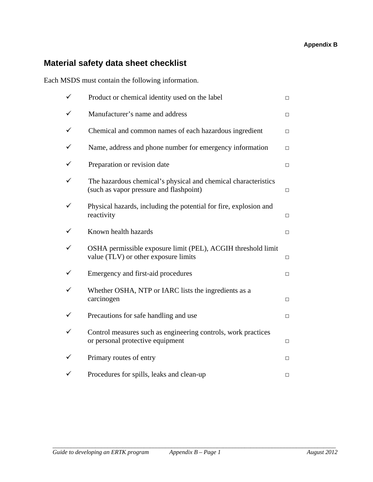## **Material safety data sheet checklist**

Each MSDS must contain the following information.

| ✓ | Product or chemical identity used on the label                                                            | $\Box$ |
|---|-----------------------------------------------------------------------------------------------------------|--------|
|   | Manufacturer's name and address                                                                           | $\Box$ |
|   | Chemical and common names of each hazardous ingredient                                                    | $\Box$ |
|   | Name, address and phone number for emergency information                                                  | $\Box$ |
|   | Preparation or revision date                                                                              | $\Box$ |
|   | The hazardous chemical's physical and chemical characteristics<br>(such as vapor pressure and flashpoint) | $\Box$ |
|   | Physical hazards, including the potential for fire, explosion and<br>reactivity                           | $\Box$ |
|   | Known health hazards                                                                                      | $\Box$ |
|   | OSHA permissible exposure limit (PEL), ACGIH threshold limit<br>value (TLV) or other exposure limits      | $\Box$ |
|   | Emergency and first-aid procedures                                                                        | $\Box$ |
|   | Whether OSHA, NTP or IARC lists the ingredients as a<br>carcinogen                                        | $\Box$ |
|   | Precautions for safe handling and use                                                                     | $\Box$ |
|   | Control measures such as engineering controls, work practices<br>or personal protective equipment         | $\Box$ |
|   | Primary routes of entry                                                                                   | $\Box$ |
|   | Procedures for spills, leaks and clean-up                                                                 | $\Box$ |

*\_\_\_\_\_\_\_\_\_\_\_\_\_\_\_\_\_\_\_\_\_\_\_\_\_\_\_\_\_\_\_\_\_\_\_\_\_\_\_\_\_\_\_\_\_\_\_\_\_\_\_\_\_\_\_\_\_\_\_\_\_\_\_\_\_\_\_\_\_\_\_\_\_\_\_\_\_\_\_\_\_\_\_\_\_\_\_\_\_\_\_\_\_*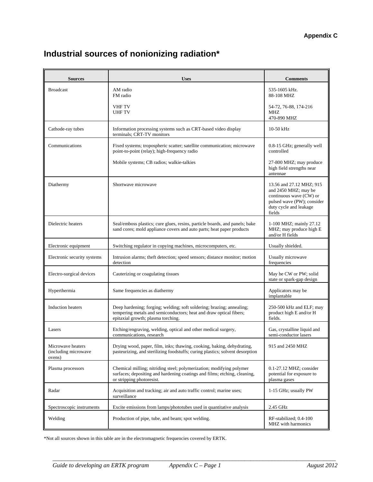#### **Appendix C**

## **Industrial sources of nonionizing radiation\***

| <b>Sources</b>                                      | <b>Uses</b>                                                                                                                                                                       | <b>Comments</b>                                                                                                                               |
|-----------------------------------------------------|-----------------------------------------------------------------------------------------------------------------------------------------------------------------------------------|-----------------------------------------------------------------------------------------------------------------------------------------------|
| <b>Broadcast</b>                                    | AM radio<br>FM radio                                                                                                                                                              | 535-1605 kHz.<br>88-108 MHZ                                                                                                                   |
|                                                     | <b>VHF TV</b><br><b>UHFTV</b>                                                                                                                                                     | 54-72, 76-88, 174-216<br>MHZ<br>470-890 MHZ                                                                                                   |
| Cathode-ray tubes                                   | Information processing systems such as CRT-based video display<br>terminals; CRT-TV monitors                                                                                      | $10-50$ kHz                                                                                                                                   |
| Communications                                      | Fixed systems; tropospheric scatter; satellite communication; microwave<br>point-to-point (relay); high-frequency radio                                                           | 0.8-15 GHz; generally well<br>controlled                                                                                                      |
|                                                     | Mobile systems; CB radios; walkie-talkies                                                                                                                                         | 27-800 MHZ; may produce<br>high field strengths near<br>antennae                                                                              |
| Diathermy                                           | Shortwave microwave                                                                                                                                                               | 13.56 and 27.12 MHZ; 915<br>and 2450 MHZ; may be<br>continuous wave (CW) or<br>pulsed wave (PW); consider<br>duty cycle and leakage<br>fields |
| Dielectric heaters                                  | Seal/emboss plastics; cure glues, resins, particle boards, and panels; bake<br>sand cores; mold appliance covers and auto parts; heat paper products                              | 1-100 MHZ; mainly 27.12<br>MHZ; may produce high E<br>and/or H fields                                                                         |
| Electronic equipment                                | Switching regulator in copying machines, microcomputers, etc.                                                                                                                     | Usually shielded.                                                                                                                             |
| Electronic security systems                         | Intrusion alarms; theft detection; speed sensors; distance monitor; motion<br>detection                                                                                           | Usually microwave<br>frequencies                                                                                                              |
| Electro-surgical devices                            | Cauterizing or coagulating tissues                                                                                                                                                | May be CW or PW; solid<br>state or spark-gap design                                                                                           |
| Hyperthermia                                        | Same frequencies as diathermy                                                                                                                                                     | Applicators may be<br>implantable                                                                                                             |
| <b>Induction heaters</b>                            | Deep hardening; forging; welding; soft soldering; brazing; annealing;<br>tempering metals and semiconductors; heat and draw optical fibers;<br>epitaxial growth; plasma torching. | 250-500 kHz and ELF; may<br>product high E and/or H<br>fields.                                                                                |
| Lasers                                              | Etching/engraving, welding, optical and other medical surgery,<br>communications, research                                                                                        | Gas, crystalline liquid and<br>semi-conductor lasers                                                                                          |
| Microwave heaters<br>(including microwave<br>ovens) | Drying wood, paper, film, inks; thawing, cooking, baking, dehydrating,<br>pasteurizing, and sterilizing foodstuffs; curing plastics; solvent desorption                           | 915 and 2450 MHZ                                                                                                                              |
| Plasma processors                                   | Chemical milling; nitriding steel; polymerization; modifying polymer<br>surfaces; depositing and hardening coatings and films; etching, cleaning,<br>or stripping photoresist.    | $0.1-27.12 \text{ MHz}$ ; consider<br>potential for exposure to<br>plasma gases                                                               |
| Radar                                               | Acquisition and tracking; air and auto traffic control; marine uses;<br>surveillance                                                                                              | 1-15 GHz; usually PW                                                                                                                          |
| Spectroscopic instruments                           | Excite emissions from lamps/phototubes used in quantitative analysis                                                                                                              | 2.45 GHz                                                                                                                                      |
| Welding                                             | Production of pipe, tube, and beam; spot welding.                                                                                                                                 | RF-stabilized; 0.4-100<br>MHZ with harmonics                                                                                                  |

*\_\_\_\_\_\_\_\_\_\_\_\_\_\_\_\_\_\_\_\_\_\_\_\_\_\_\_\_\_\_\_\_\_\_\_\_\_\_\_\_\_\_\_\_\_\_\_\_\_\_\_\_\_\_\_\_\_\_\_\_\_\_\_\_\_\_\_\_\_\_\_\_\_\_\_\_\_\_\_\_\_\_\_\_\_\_\_\_\_\_\_\_\_* 

\*Not all sources shown in this table are in the electromagnetic frequencies covered by ERTK.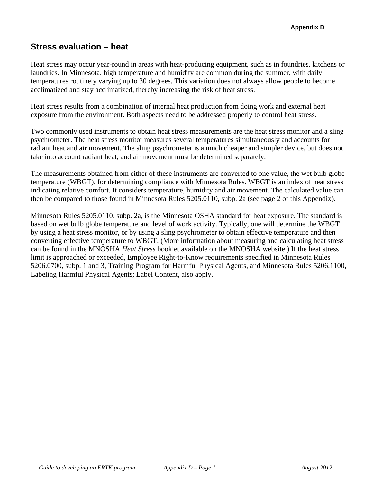## **Stress evaluation – heat**

Heat stress may occur year-round in areas with heat-producing equipment, such as in foundries, kitchens or laundries. In Minnesota, high temperature and humidity are common during the summer, with daily temperatures routinely varying up to 30 degrees. This variation does not always allow people to become acclimatized and stay acclimatized, thereby increasing the risk of heat stress.

Heat stress results from a combination of internal heat production from doing work and external heat exposure from the environment. Both aspects need to be addressed properly to control heat stress.

Two commonly used instruments to obtain heat stress measurements are the heat stress monitor and a sling psychrometer. The heat stress monitor measures several temperatures simultaneously and accounts for radiant heat and air movement. The sling psychrometer is a much cheaper and simpler device, but does not take into account radiant heat, and air movement must be determined separately.

The measurements obtained from either of these instruments are converted to one value, the wet bulb globe temperature (WBGT), for determining compliance with Minnesota Rules. WBGT is an index of heat stress indicating relative comfort. It considers temperature, humidity and air movement. The calculated value can then be compared to those found in Minnesota Rules 5205.0110, subp. 2a (see page 2 of this Appendix).

Minnesota Rules 5205.0110, subp. 2a, is the Minnesota OSHA standard for heat exposure. The standard is based on wet bulb globe temperature and level of work activity. Typically, one will determine the WBGT by using a heat stress monitor, or by using a sling psychrometer to obtain effective temperature and then converting effective temperature to WBGT. (More information about measuring and calculating heat stress can be found in the MNOSHA *Heat Stress* booklet available on the MNOSHA website.) If the heat stress limit is approached or exceeded, Employee Right-to-Know requirements specified in Minnesota Rules 5206.0700, subp. 1 and 3, Training Program for Harmful Physical Agents, and Minnesota Rules 5206.1100, Labeling Harmful Physical Agents; Label Content, also apply.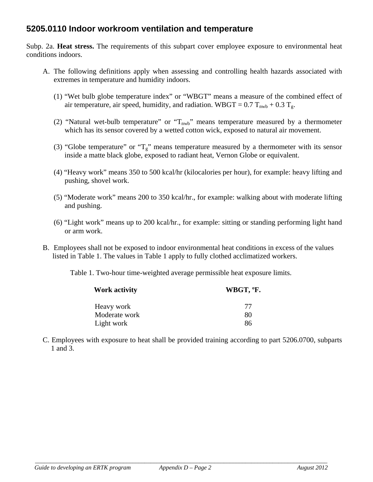## **5205.0110 Indoor workroom ventilation and temperature**

Subp. 2a. **Heat stress.** The requirements of this subpart cover employee exposure to environmental heat conditions indoors.

- A. The following definitions apply when assessing and controlling health hazards associated with extremes in temperature and humidity indoors.
	- (1) "Wet bulb globe temperature index" or "WBGT" means a measure of the combined effect of air temperature, air speed, humidity, and radiation. WBGT =  $0.7$  T<sub>nwb</sub> +  $0.3$  T<sub>g</sub>.
	- (2) "Natural wet-bulb temperature" or " $T_{nwb}$ " means temperature measured by a thermometer which has its sensor covered by a wetted cotton wick, exposed to natural air movement.
	- (3) "Globe temperature" or " $T_g$ " means temperature measured by a thermometer with its sensor inside a matte black globe, exposed to radiant heat, Vernon Globe or equivalent.
	- (4) "Heavy work" means 350 to 500 kcal/hr (kilocalories per hour), for example: heavy lifting and pushing, shovel work.
	- (5) "Moderate work" means 200 to 350 kcal/hr., for example: walking about with moderate lifting and pushing.
	- (6) "Light work" means up to 200 kcal/hr., for example: sitting or standing performing light hand or arm work.
- B. Employees shall not be exposed to indoor environmental heat conditions in excess of the values listed in Table 1. The values in Table 1 apply to fully clothed acclimatized workers.

Table 1. Two-hour time-weighted average permissible heat exposure limits.

| <b>Work activity</b> | WBGT, °F. |  |
|----------------------|-----------|--|
| Heavy work           | 77        |  |
| Moderate work        | 80        |  |
| Light work           | 86        |  |

C. Employees with exposure to heat shall be provided training according to part 5206.0700, subparts 1 and 3.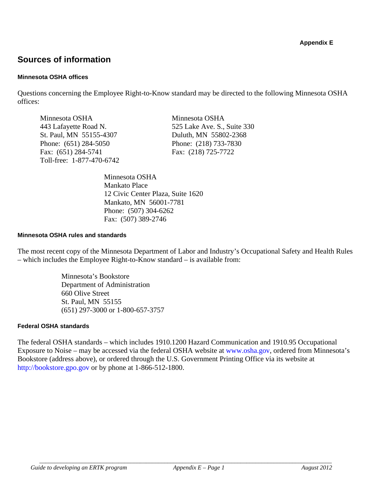## **Sources of information**

#### **Minnesota OSHA offices**

Questions concerning the Employee Right-to-Know standard may be directed to the following Minnesota OSHA offices:

Minnesota OSHA Minnesota OSHA St. Paul, MN 55155-4307 Duluth, MN 55802-2368 Phone: (651) 284-5050 Phone: (218) 733-7830 Fax: (651) 284-5741 Fax: (218) 725-7722 Toll-free: 1-877-470-6742

443 Lafayette Road N. 525 Lake Ave. S., Suite 330

Minnesota OSHA Mankato Place 12 Civic Center Plaza, Suite 1620 Mankato, MN 56001-7781 Phone: (507) 304-6262 Fax: (507) 389-2746

#### **Minnesota OSHA rules and standards**

The most recent copy of the Minnesota Department of Labor and Industry's Occupational Safety and Health Rules – which includes the Employee Right-to-Know standard – is available from:

> Minnesota's Bookstore Department of Administration 660 Olive Street St. Paul, MN 55155 (651) 297-3000 or 1-800-657-3757

#### **Federal OSHA standards**

The federal OSHA standards – which includes 1910.1200 Hazard Communication and 1910.95 Occupational Exposure to Noise – may be accessed via the federal OSHA website at www.osha.gov, ordered from Minnesota's Bookstore (address above), or ordered through the U.S. Government Printing Office via its website at http://bookstore.gpo.gov or by phone at 1-866-512-1800.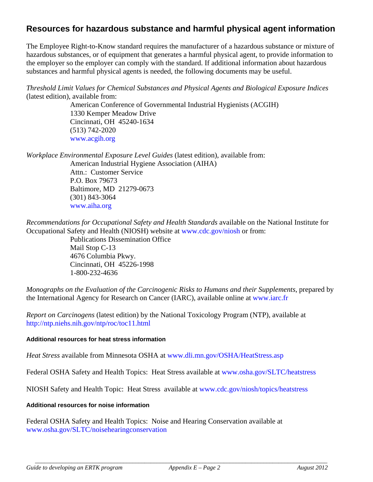### **Resources for hazardous substance and harmful physical agent information**

The Employee Right-to-Know standard requires the manufacturer of a hazardous substance or mixture of hazardous substances, or of equipment that generates a harmful physical agent, to provide information to the employer so the employer can comply with the standard. If additional information about hazardous substances and harmful physical agents is needed, the following documents may be useful.

*Threshold Limit Values for Chemical Substances and Physical Agents and Biological Exposure Indices* (latest edition), available from:

> American Conference of Governmental Industrial Hygienists (ACGIH) 1330 Kemper Meadow Drive Cincinnati, OH 45240-1634 (513) 742-2020 www.acgih.org

*Workplace Environmental Exposure Level Guides* (latest edition), available from: American Industrial Hygiene Association (AIHA)

Attn.: Customer Service P.O. Box 79673 Baltimore, MD 21279-0673 (301) 843-3064 www.aiha.org

*Recommendations for Occupational Safety and Health Standards* available on the National Institute for Occupational Safety and Health (NIOSH) website at www.cdc.gov/niosh or from:

Publications Dissemination Office Mail Stop C-13 4676 Columbia Pkwy. Cincinnati, OH 45226-1998 1-800-232-4636

*Monographs on the Evaluation of the Carcinogenic Risks to Humans and their Supplements*, prepared by the International Agency for Research on Cancer (IARC), available online at www.iarc.fr

*Report on Carcinogens* (latest edition) by the National Toxicology Program (NTP), available at http://ntp.niehs.nih.gov/ntp/roc/toc11.html

#### **Additional resources for heat stress information**

*Heat Stress* available from Minnesota OSHA at www.dli.mn.gov/OSHA/HeatStress.asp

Federal OSHA Safety and Health Topics: Heat Stress available at www.osha.gov/SLTC/heatstress

NIOSH Safety and Health Topic: Heat Stress available at www.cdc.gov/niosh/topics/heatstress

#### **Additional resources for noise information**

Federal OSHA Safety and Health Topics: Noise and Hearing Conservation available at www.osha.gov/SLTC/noisehearingconservation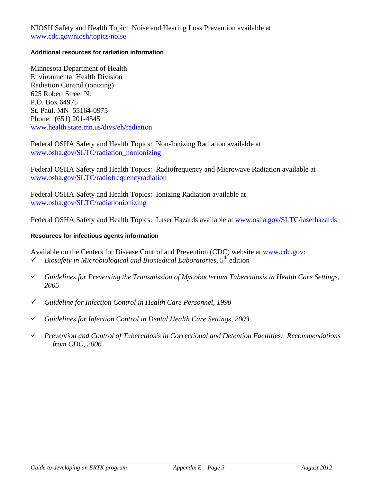NIOSH Safety and Health Topic: Noise and Hearing Loss Prevention available at www.cdc.gov/niosh/topics/noise

#### **Additional resources for radiation information**

Minnesota Department of Health Environmental Health Division Radiation Control (ionizing) 625 Robert Street N. P.O. Box 64975 St. Paul, MN 55164-0975 Phone: (651) 201-4545 www.health.state.mn.us/divs/eh/radiation

Federal OSHA Safety and Health Topics: Non-Ionizing Radiation available at www.osha.gov/SLTC/radiation\_nonionizing

Federal OSHA Safety and Health Topics: Radiofrequency and Microwave Radiation available at www.osha.gov/SLTC/radiofrequencyradiation

Federal OSHA Safety and Health Topics: Ionizing Radiation available at www.osha.gov/SLTC/radiationionizing

Federal OSHA Safety and Health Topics: Laser Hazards available at www.osha.gov/SLTC/laserhazards

#### **Resources for infectious agents information**

Available on the Centers for Disease Control and Prevention (CDC) website at www.cdc.gov:  $\checkmark$  Biosafety in Microbiological and Biomedical Laboratories,  $5^{\text{th}}$  edition

- *Guidelines for Preventing the Transmission of Mycobacterium Tuberculosis in Health Care Settings, 2005*
- *Guideline for Infection Control in Health Care Personnel, 1998*
- *Guidelines for Infection Control in Dental Health Care Settings, 2003*
- *Prevention and Control of Tuberculosis in Correctional and Detention Facilities: Recommendations from CDC, 2006*

*\_\_\_\_\_\_\_\_\_\_\_\_\_\_\_\_\_\_\_\_\_\_\_\_\_\_\_\_\_\_\_\_\_\_\_\_\_\_\_\_\_\_\_\_\_\_\_\_\_\_\_\_\_\_\_\_\_\_\_\_\_\_\_\_\_\_\_\_\_\_\_\_\_\_\_\_\_\_\_\_\_\_\_\_\_\_\_\_\_\_\_\_\_\_\_\_*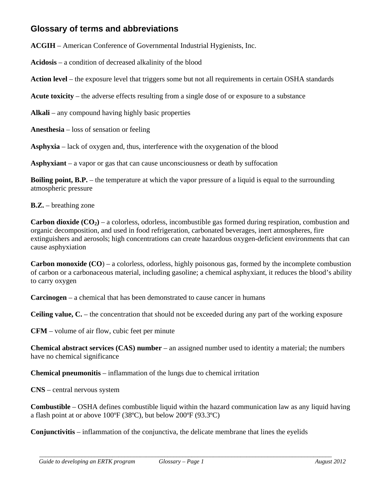## **Glossary of terms and abbreviations**

**ACGIH** – American Conference of Governmental Industrial Hygienists, Inc.

**Acidosis** – a condition of decreased alkalinity of the blood

**Action level** – the exposure level that triggers some but not all requirements in certain OSHA standards

**Acute toxicity** – the adverse effects resulting from a single dose of or exposure to a substance

Alkali – any compound having highly basic properties

**Anesthesia** – loss of sensation or feeling

**Asphyxia** – lack of oxygen and, thus, interference with the oxygenation of the blood

**Asphyxiant** – a vapor or gas that can cause unconsciousness or death by suffocation

**Boiling point, B.P.** – the temperature at which the vapor pressure of a liquid is equal to the surrounding atmospheric pressure

**B.Z.** – breathing zone

**Carbon dioxide**  $(CO_2)$  – a colorless, odorless, incombustible gas formed during respiration, combustion and organic decomposition, and used in food refrigeration, carbonated beverages, inert atmospheres, fire extinguishers and aerosols; high concentrations can create hazardous oxygen-deficient environments that can cause asphyxiation

**Carbon monoxide (CO**) – a colorless, odorless, highly poisonous gas, formed by the incomplete combustion of carbon or a carbonaceous material, including gasoline; a chemical asphyxiant, it reduces the blood's ability to carry oxygen

**Carcinogen** – a chemical that has been demonstrated to cause cancer in humans

**Ceiling value, C.** – the concentration that should not be exceeded during any part of the working exposure

**CFM** – volume of air flow, cubic feet per minute

**Chemical abstract services (CAS) number** – an assigned number used to identity a material; the numbers have no chemical significance

**Chemical pneumonitis** – inflammation of the lungs due to chemical irritation

**CNS** – central nervous system

**Combustible** – OSHA defines combustible liquid within the hazard communication law as any liquid having a flash point at or above 100ºF (38ºC), but below 200ºF (93.3ºC)

**Conjunctivitis** – inflammation of the conjunctiva, the delicate membrane that lines the eyelids

*\_\_\_\_\_\_\_\_\_\_\_\_\_\_\_\_\_\_\_\_\_\_\_\_\_\_\_\_\_\_\_\_\_\_\_\_\_\_\_\_\_\_\_\_\_\_\_\_\_\_\_\_\_\_\_\_\_\_\_\_\_\_\_\_\_\_\_\_\_\_\_\_\_\_\_\_\_\_\_\_\_\_\_\_\_\_\_\_\_\_\_\_\_\_\_\_*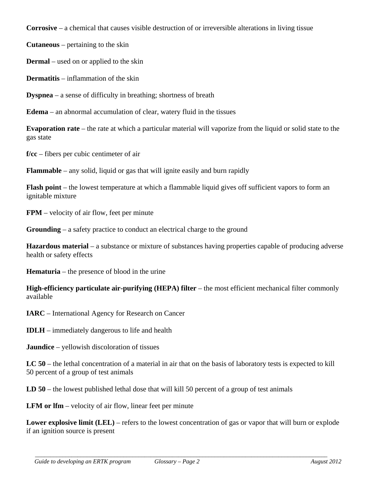**Corrosive** – a chemical that causes visible destruction of or irreversible alterations in living tissue

**Cutaneous** – pertaining to the skin

**Dermal** – used on or applied to the skin

**Dermatitis** – inflammation of the skin

**Dyspnea** – a sense of difficulty in breathing; shortness of breath

**Edema** – an abnormal accumulation of clear, watery fluid in the tissues

**Evaporation rate** – the rate at which a particular material will vaporize from the liquid or solid state to the gas state

**f/cc** – fibers per cubic centimeter of air

**Flammable** – any solid, liquid or gas that will ignite easily and burn rapidly

**Flash point** – the lowest temperature at which a flammable liquid gives off sufficient vapors to form an ignitable mixture

**FPM** – velocity of air flow, feet per minute

**Grounding** – a safety practice to conduct an electrical charge to the ground

**Hazardous material** – a substance or mixture of substances having properties capable of producing adverse health or safety effects

**Hematuria** – the presence of blood in the urine

**High-efficiency particulate air-purifying (HEPA) filter** – the most efficient mechanical filter commonly available

**IARC** – International Agency for Research on Cancer

**IDLH** – immediately dangerous to life and health

**Jaundice** – yellowish discoloration of tissues

**LC 50** – the lethal concentration of a material in air that on the basis of laboratory tests is expected to kill 50 percent of a group of test animals

**LD 50** – the lowest published lethal dose that will kill 50 percent of a group of test animals

**LFM or lfm** – velocity of air flow, linear feet per minute

**Lower explosive limit (LEL)** – refers to the lowest concentration of gas or vapor that will burn or explode if an ignition source is present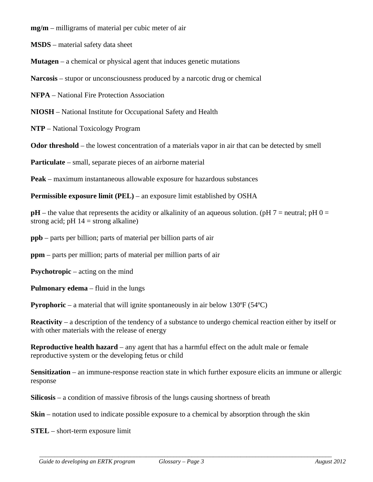**mg/m** – milligrams of material per cubic meter of air

**MSDS** – material safety data sheet

**Mutagen** – a chemical or physical agent that induces genetic mutations

**Narcosis** – stupor or unconsciousness produced by a narcotic drug or chemical

**NFPA** – National Fire Protection Association

**NIOSH** – National Institute for Occupational Safety and Health

**NTP** – National Toxicology Program

**Odor threshold** – the lowest concentration of a materials vapor in air that can be detected by smell

**Particulate** – small, separate pieces of an airborne material

**Peak** – maximum instantaneous allowable exposure for hazardous substances

**Permissible exposure limit (PEL)** – an exposure limit established by OSHA

 $pH$  – the value that represents the acidity or alkalinity of an aqueous solution. ( $pH$  7 = neutral;  $pH$  0 = strong acid; pH  $14 =$  strong alkaline)

**ppb** – parts per billion; parts of material per billion parts of air

**ppm** – parts per million; parts of material per million parts of air

**Psychotropic** – acting on the mind

**Pulmonary edema** – fluid in the lungs

**Pyrophoric** – a material that will ignite spontaneously in air below 130°F (54°C)

**Reactivity** – a description of the tendency of a substance to undergo chemical reaction either by itself or with other materials with the release of energy

**Reproductive health hazard** – any agent that has a harmful effect on the adult male or female reproductive system or the developing fetus or child

**Sensitization** – an immune-response reaction state in which further exposure elicits an immune or allergic response

*\_\_\_\_\_\_\_\_\_\_\_\_\_\_\_\_\_\_\_\_\_\_\_\_\_\_\_\_\_\_\_\_\_\_\_\_\_\_\_\_\_\_\_\_\_\_\_\_\_\_\_\_\_\_\_\_\_\_\_\_\_\_\_\_\_\_\_\_\_\_\_\_\_\_\_\_\_\_\_\_\_\_\_\_\_\_\_\_\_\_\_\_\_\_\_\_* 

**Silicosis** – a condition of massive fibrosis of the lungs causing shortness of breath

**Skin** – notation used to indicate possible exposure to a chemical by absorption through the skin

**STEL** – short-term exposure limit